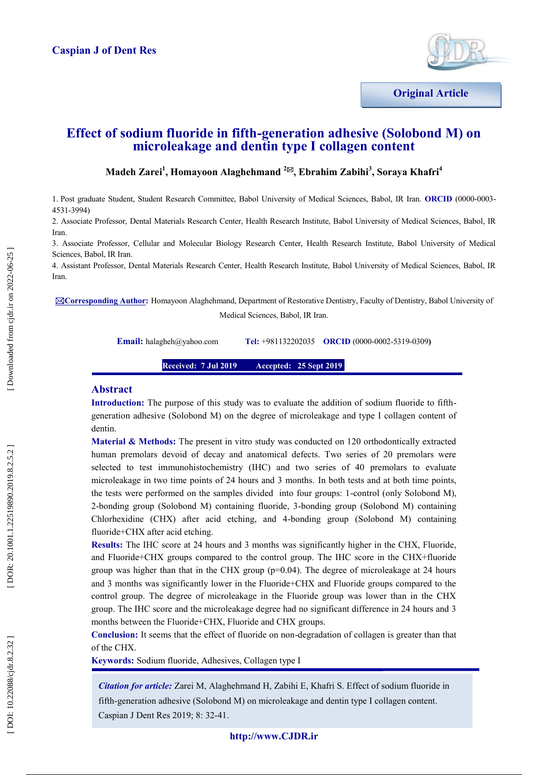

# **Effect of sodium fluoride in fifth -generation adhesive (Solobond M) on microleakage and dentin type I collagen content**

# $\mathbf{M}$ adeh Zarei<sup>1</sup>, Homayoon Alaghehmand <sup>2⊠</sup>, Ebrahim Zabihi<sup>3</sup>, Soraya Khafri<sup>4</sup>

1. Post graduate Student, Student Research Committee, Babol University of Medical Sciences, Babol, IR Iran. **ORCID** (0000 -0003 - 4531 -3994)

2. Associate Professor, Dental Materials Research Center, Health Research Institute, Babol University of Medical Sciences, Babol, IR Iran.

3. Associate Professor, Cellular and Molecular Biology Research Center, Health Research Institute, Babol University of Medical Sciences, Babol, IR Iran.

4. Assistant Professor, Dental Materials Research Center, Health Research Institute, Babol University of Medical Sciences, Babol, IR Iran.

**⊠Corresponding Author:** Homayoon Alaghehmand, Department of Restorative Dentistry, Faculty of Dentistry, Babol University of Medical Sciences, Babol, IR Iran.

**Email:** [halagheh@yahoo.com](mailto:halagheh@yahoo.com)

+981132202035 **ORCID** (0000-0002-5319-0309)

**Received: 7 Jul 201 9 Accepted: 25 Sept 2019** 

### **Abstract**

**Introduction:** The purpose of this study was to evaluate the addition of sodium fluoride to fifth generation adhesive (Solobond M) on the degree of microleakage and type I collagen content of dentin.

**Material & Methods:** The present in vitro study was conducted on 120 orthodontically extracted human premolars devoid of decay and anatomical defects. Two series of 20 premolars were selected to test immunohistochemistry (IHC) and two series of 40 premolars to evaluate microleakage in two time points of 24 hours and 3 months. In both tests and at both time points, the tests were performed on the samples divided into four groups: 1 -control (only Solobond M), 2 -bonding group (Solobond M) containing fluoride, 3 -bonding group (Solobond M) containing Chlorhexidine (CHX) after acid etching, and 4 -bonding group (Solobond M) containing fluoride+CHX after acid etching.

**Results:** The IHC score at 24 hours and 3 months was significantly higher in the CHX, Fluoride, and Fluoride+CHX groups compared to the control group. The IHC score in the CHX+fluoride group was higher than that in the CHX group ( $p=0.04$ ). The degree of microleakage at 24 hours and 3 months was significantly lower in the Fluoride+CHX and Fluoride groups compared to the control group. The degree of microleakage in the Fluoride group was lower than in the CHX group. The IHC score and the microleakage degree had no significant difference in 24 hours and 3 months between the Fluoride+CHX, Fluoride and CHX groups.

**Conclusion:** It seems that the effect of fluoride on non -degradation of collagen is greater than that of the CHX.

**Keywords:** Sodium fluoride, Adhesives, Collagen type I

*Citation for article:* Zarei M, Alaghehmand H, Zabihi E, Khafri S. Effect of sodium fluoride in fifth -generation adhesive (Solobond M) on microleakage and dentin type I collagen content. Caspian J Dent Res 2019; 8: 32 -41.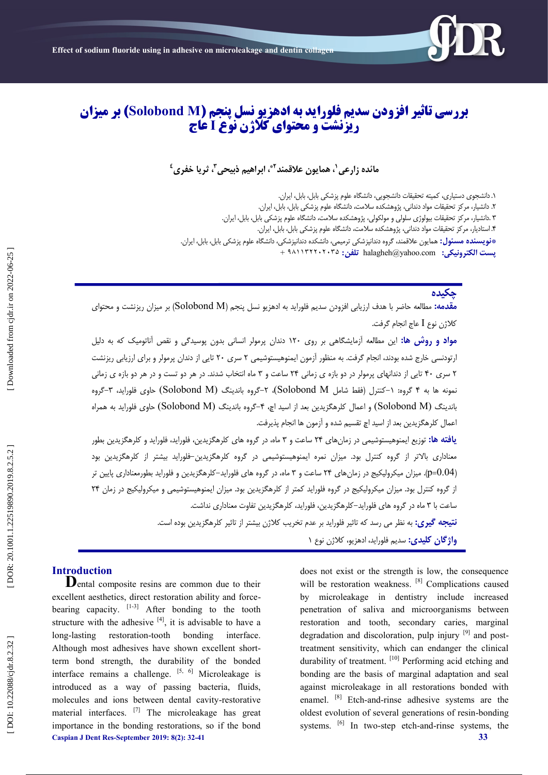

# **بررسی تاثیر افزودن سدیم فلوراید به ادهزیو نسل پنجم )M Solobond )بر میزان ریزنشت و محتوای کلاژن نوْع I عاج**

مائده زارعی <sup>۱</sup>، همایون علاقمند <sup>۲</sup>ٌ، ابراهیم ذبیحی <sup>۳</sup>، ثریا خفری <sup>٤</sup>

۱. دانشجوی دستیاری، کمیته تحقیقات دانشجویی، دانشگاه علوم پزشکی بابل، بابل، ایران. . ۲. دانشیار، مرکز تحقیقات مواد دندانی، پژوهشکده سلامت، دانشگاه علوم پزشکی بابل، بابل، ایران. ۲ .دانشیار، مرکز تحقیقات بیولوژی سلولی و مولکولی، پژوهشکده سلامت، دانشگاه علوم پزشکی بابل، بابل، ایران. . ۴. استادیار، مرکز تحقیقات مواد دندانی، پژوهشکده سلامت، دانشگاه علوم پزشکی بابل، بابل، ایران. . **\*فویسنده مسئول:** همایون علاقمند، گروه دندانپزشکی ترمیمی، دانشکده دندانپزشکی، دانشگاه علوم پزشکی بابل، بابل، ایران. + 532243313149 **:تلفه** [halagheh@yahoo.com](mailto:halagheh@yahoo.com) **پست الکتريویکی:**

# **چکیدٌ**

<mark>مقدمه:</mark> مطالعه حاضر با هدف ارزیابی افزودن سدیم فلوراید به ادهزیو نسل پنجم (Solobond M) بر میزان ریزنشت و محتوای كلاژن نوع I عاج انجام گرفت.

<mark>مواد و روش ها:</mark> این مطالعه ازمایشگاهی بر روی ۱۲۰ دندان پرمولر انسانی بدون پوسیدگی و نقص اناتومیک که به دلیل ارتودنسی خارج شده بودند، انجام گرفت. به منظور ازمون ایمنوهیستوشیمی ۲ سری ۲۰ تایی از دندان پرمولر و برای ارزیابی ریزنشت ۲ سری ۴۰ تایی از دندانهای پرمولر در دو بازه ی زمانی ۲۴ ساعت و ۳ ماه انتخاب شدند. در هر دو تست و در هر دو بازه ی زمانی نمونه ها به ۴ گروه: ۱–کنترل (فقط شامل Solobond M)، ۲–گروه باندینگ (Solobond M) حاوی فلوراید، ۳–گروه باندینگ (Solobond M) و اعمال کلرهگزیدین بعد از اسید اچ، ۴-گروه باندینگ (Solobond M) حاوی فلوراید به همراه اعمال کلزهگزیدین بعد از اسید اچ تقسیم شده و آزمون ها انجام پذیرفت.

**یافته ها:** توزیع ایمنوهیستوشیمی در زمانهای ۲۴ ساعت و ۳ ماه، در گروه های کلرهگزیدین، فلوراید، فلوراید و کلرهگزیدین بطور معناداری بالاتر از گروه کنترل بود. میزان نمره ایمنوهیستوشیمی در گروه کلرهگزیدین–فلوراید بیشتر از کلرهگزیدین بود (p=0.04). میزان میکرولیکیج در زمان های ۲۴ ساعت و ۳ ماه، در گروه های فلوراید–کلرهگزیدین و فلوراید بطورمعناداری پایین تر از گروه کنترل بود. میزان میکرولیکیج در گروه فلوراید کمتر از کلرهگزیدین بود. میزان ایمنوهیستوشیمی و میکرولیکیج در زمان ۲۴ ساعت با ۳ ماه در گروه های فلوراید–کلرهگزیدین، فلوراید، کلرهگزیدین تفاوت معناداری نداشت.

**نتیجِه گیری:** به نظر می رسد که تاثیر فلوراید بر عدم تخریب کلاژن بیشتر از تاثیر کلرهگزیدین بوده است.

<mark>واژگان كلیدی:</mark> سدیم فلوراید، ادهزیو، كلاژن نوع ۱

**Caspian J Dent Res -September 2019: 8 ( 2): 32 -41 33 Introduction**<br>**D**ental composite resins are common due to their excellent aesthetics, direct restoration ability and forcebearing capacity.  $[1-3]$  After bonding to the tooth structure with the adhesive  $[4]$ , it is advisable to have a long -lasting restoration -tooth bonding interface. Although most adhesives have shown excellent short term bond strength, the durability of the bonded interface remains a challenge.  $[5, 6]$  Microleakage is introduced as a way of passing bacteria, fluids, molecules and ions between dental cavity -restorative material interfaces. <sup>[7]</sup> The microleakage has great importance in the bonding restorations, so if the bond

does not exist or the strength is low, the consequence will be restoration weakness. [8] Complications caused by microleakage in dentistry include increased penetration of saliva and microorganisms between restoration and tooth, secondary caries, marginal degradation and discoloration, pulp injury  $[9]$  and posttreatment sensitivity, which can endanger the clinical durability of treatment. [10] Performing acid etching and bonding are the basis of marginal adaptation and seal against microleakage in all restorations bonded with enamel. <sup>[8]</sup> Etch-and-rinse adhesive systems are the oldest evolution of several generations of resin -bonding systems. <sup>[6]</sup> In two-step etch-and-rinse systems, the

[ DOI: 10.22088/cjdr.8.2.32 ] [\[ DOR: 20.1001.1.22519890.2019.8.2.5.2 \]](https://dorl.net/dor/20.1001.1.22519890.2019.8.2.5.2) [\[ Downloaded from cjdr.ir on 2022-06-25 \]](http://cjdr.ir/article-1-277-en.html) Downloaded from cjdr.ir on 2022-06-25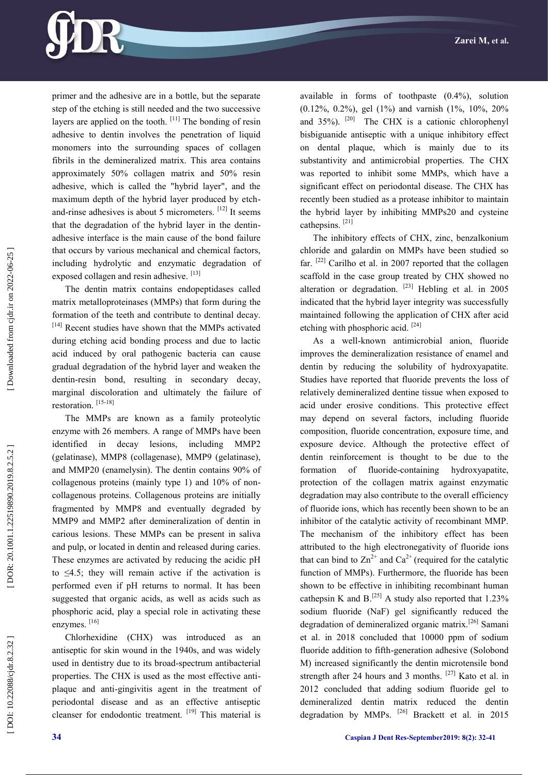

primer and the adhesive are in a bottle, but the separate step of the etching is still needed and the two successive layers are applied on the tooth.  $[11]$  The bonding of resin adhesive to dentin involves the penetration of liquid monomers into the surrounding spaces of collagen fibrils in the demineralized matrix. This area contains approximately 50% collagen matrix and 50% resin adhesive, which is called the "hybrid layer", and the maximum depth of the hybrid layer produced by etch and-rinse adhesives is about 5 micrometers. [12] It seems that the degradation of the hybrid layer in the dentin adhesive interface is the main cause of the bond failure that occurs by various mechanical and chemical factors, including hydrolytic and enzymatic degradation of exposed collagen and resin adhesive. [13]

The dentin matrix contains endopeptidases called matrix metalloproteinases (MMPs) that form during the formation of the teeth and contribute to dentinal decay. [14] Recent studies have shown that the MMPs activated during etching acid bonding process and due to lactic acid induced by oral pathogenic bacteria can cause gradual degradation of the hybrid layer and weaken the dentin -resin bond, resulting in secondary decay, marginal discoloration and ultimately the failure of restoration.<sup>[15-18]</sup>

The MMPs are known as a family proteolytic enzyme with 26 members. A range of MMPs have been identified in decay lesions, including MMP2 (gelatinase), MMP8 (collagenase), MMP9 (gelatinase), and MMP20 (enamelysin). The dentin contains 90% of collagenous proteins (mainly type 1) and 10% of non collagenous proteins. Collagenous proteins are initially fragmented by MMP8 and eventually degraded by MMP9 and MMP2 after demineralization of dentin in carious lesions. These MMPs can be present in saliva and pulp, or located in dentin and released during caries. These enzymes are activated by reducing the acidic pH to  $\leq 4.5$ ; they will remain active if the activation is performed even if pH returns to normal. It has been suggested that organic acids, as well as acids such as phosphoric acid, play a special role in activating these enzymes.<sup>[16]</sup>

Chlorhexidine (CHX) was introduced as an antiseptic for skin wound in the 1940s, and was widely used in dentistry due to its broad -spectrum antibacterial properties. The CHX is used as the most effective anti plaque and anti -gingivitis agent in the treatment of periodontal disease and as an effective antiseptic cleanser for endodontic treatment. [19] This material is available in forms of toothpaste (0.4%), solution  $(0.12\%, 0.2\%)$ , gel  $(1\%)$  and varnish  $(1\%, 10\%, 20\%)$ and 35%). <sup>[20]</sup> The CHX is a cationic chlorophenyl bisbiguanide antiseptic with a unique inhibitory effect on dental plaque, which is mainly due to its substantivity and antimicrobial properties. The CHX was reported to inhibit some MMPs, which have a significant effect on periodontal disease. The CHX has recently been studied as a protease inhibitor to maintain the hybrid layer by inhibiting MMPs20 and cysteine cathepsins.<sup>[21]</sup>

The inhibitory effects of CHX, zinc, benzalkonium chloride and galardin on MMPs have been studied so far.  $[22]$  Carilho et al. in 2007 reported that the collagen scaffold in the case group treated by CHX showed no alteration or degradation. <sup>[23]</sup> Hebling et al. in 2005 indicated that the hybrid layer integrity was successfully maintained following the application of CHX after acid etching with phosphoric acid.<sup>[24]</sup>

As a well -known antimicrobial anion, fluoride improves the demineralization resistance of enamel and dentin by reducing the solubility of hydroxyapatite. Studies have reported that fluoride prevents the loss of relatively demineralized dentine tissue when exposed to acid under erosive conditions. This protective effect may depend on several factors, including fluoride composition, fluoride concentration, exposure time, and exposure device. Although the protective effect of dentin reinforcement is thought to be due to the formation of fluoride-containing hydroxyapatite, protection of the collagen matrix against enzymatic degradation may also contribute to the overall efficiency of fluoride ions, which has recently been shown to be an inhibitor of the catalytic activity of recombinant MMP. The mechanism of the inhibitory effect has been attributed to the high electronegativity of fluoride ions that can bind to  $\text{Zn}^{2+}$  and  $\text{Ca}^{2+}$  (required for the catalytic function of MMPs). Furthermore, the fluoride has been shown to be effective in inhibiting recombinant human cathepsin K and  $B$ .<sup>[25]</sup> A study also reported that 1.23% sodium fluoride (NaF) gel significantly reduced the degradation of demineralized organic matrix.<sup>[26]</sup> Samani et al. in 2018 concluded that 10000 ppm of sodium fluoride addition to fifth -generation adhesive (Solobond M) increased significantly the dentin microtensile bond strength after 24 hours and 3 months. [27] Kato et al. in 2012 concluded that adding sodium fluoride gel to demineralized dentin matrix reduced the dentin degradation by MMPs. <sup>[26]</sup> Brackett et al. in 2015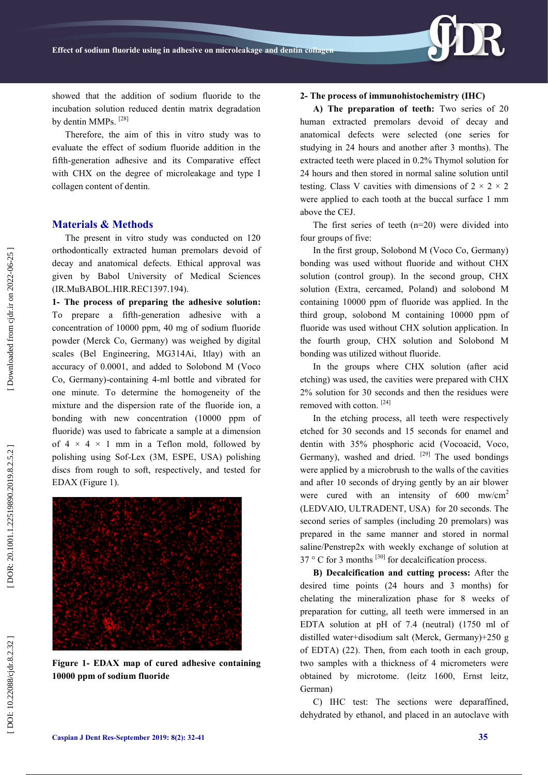

showed that the addition of sodium fluoride to the incubation solution reduced dentin matrix degradation by dentin MMPs.<sup>[28]</sup>

Therefore, the aim of this in vitro study was to evaluate the effect of sodium fluoride addition in the fifth -generation adhesive and its Comparative effect with CHX on the degree of microleakage and type I collagen content of dentin.

## **Materials & Methods**

The present in vitro study was conducted on 120 orthodontically extracted human premolars devoid of decay and anatomical defects. Ethical approval was given by Babol University of Medical Sciences (IR.MuBABOL.HIR.REC1397.194).

**1- The process of preparing the adhesive solution:**  To prepare a fifth -generation adhesive with a concentration of 10000 ppm, 40 mg of sodium fluoride powder (Merck Co, Germany) was weighed by digital scales (Bel Engineering, MG314Ai, Itlay) with an accuracy of 0.0001, and added to Solobond M (Voco Co, Germany) -containing 4 -ml bottle and vibrated for one minute. To determine the homogeneity of the mixture and the dispersion rate of the fluoride ion, a bonding with new concentration (10000 ppm of fluoride) was used to fabricate a sample at a dimension of  $4 \times 4 \times 1$  mm in a Teflon mold, followed by polishing using Sof-Lex (3M, ESPE, USA) polishing discs from rough to soft, respectively, and tested for EDAX (Figure 1).



**Figure 1 - EDAX map of cured adhesive containing 10000 ppm of sodium fluoride**

#### **2 - The process of immunohistochemistry (IHC)**

**A) The preparation of teeth:** Two series of 20 human extracted premolars devoid of decay and anatomical defects were selected (one series for studying in 24 hours and another after 3 months). The extracted teeth were placed in 0.2% Thymol solution for 24 hours and then stored in normal saline solution until testing. Class V cavities with dimensions of  $2 \times 2 \times 2$ were applied to each tooth at the buccal surface 1 mm above the CEJ.

The first series of teeth (n=20) were divided into four groups of five:

In the first group, Solobond M (Voco Co, Germany) bonding was used without fluoride and without CHX solution (control group). In the second group, CHX solution (Extra, cercamed, Poland) and solobond M containing 10000 ppm of fluoride was applied. In the third group, solobond M containing 10000 ppm of fluoride was used without CHX solution application. In the fourth group, CHX solution and Solobond M bonding was utilized without fluoride.

In the groups where CHX solution (after acid etching) was used, the cavities were prepared with CHX 2% solution for 30 seconds and then the residues were removed with cotton.<sup>[24]</sup>

In the etching process, all teeth were respectively etched for 30 seconds and 15 seconds for enamel and dentin with 35% phosphoric acid (Vocoacid, Voco, Germany), washed and dried. <sup>[29]</sup> The used bondings were applied by a microbrush to the walls of the cavities and after 10 seconds of drying gently by an air blower were cured with an intensity of 600 mw/cm<sup>2</sup> (LEDVAIO, ULTRADENT, USA) for 20 seconds. The second series of samples (including 20 premolars) was prepared in the same manner and stored in normal saline/Penstrep2x with weekly exchange of solution at 37  $\degree$  C for 3 months  $^{[30]}$  for decalcification process.

**B) Decalcification and cutting process:** After the desired time points (24 hours and 3 months) for chelating the mineralization phase for 8 weeks of preparation for cutting, all teeth were immersed in an EDTA solution at pH of 7.4 (neutral) (1750 ml of distilled water+disodium salt (Merck, Germany)+250 g of EDTA) (22). Then, from each tooth in each group, two samples with a thickness of 4 micrometers were obtained by microtome. (leitz 1600, Ernst leitz, German)

C) IHC test: The sections were deparaffined, dehydrated by ethanol, and placed in an autoclave with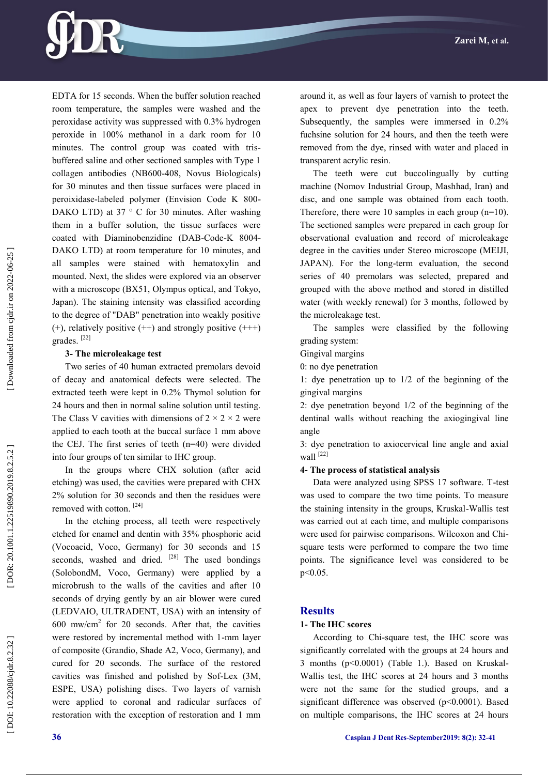

EDTA for 15 seconds. When the buffer solution reached room temperature, the samples were washed and the peroxidase activity was suppressed with 0.3% hydrogen peroxide in 100% methanol in a dark room for 10 minutes. The control group was coated with tris buffered saline and other sectioned samples with Type 1 collagen antibodies (NB600 -408, Novus Biologicals) for 30 minutes and then tissue surfaces were placed in peroixidase -labeled polymer (Envision Code K 800 - DAKO LTD) at 37 ° C for 30 minutes. After washing them in a buffer solution, the tissue surfaces were coated with Diaminobenzidine (DAB-Code-K 8004-DAKO LTD) at room temperature for 10 minutes, and all samples were stained with hematoxylin and mounted. Next, the slides were explored via an observer with a microscope (BX51, Olympus optical, and Tokyo, Japan). The staining intensity was classified according to the degree of "DAB" penetration into weakly positive  $(+)$ , relatively positive  $(++)$  and strongly positive  $(++)$ grades.<sup>[22]</sup>

#### **3 - The microleakage test**

Two series of 40 human extracted premolars devoid of decay and anatomical defects were selected. The extracted teeth were kept in 0.2% Thymol solution for 24 hours and then in normal saline solution until testing. The Class V cavities with dimensions of  $2 \times 2 \times 2$  were applied to each tooth at the buccal surface 1 mm above the CEJ. The first series of teeth (n=40) were divided into four groups of ten similar to IHC group.

In the groups where CHX solution (after acid etching) was used, the cavities were prepared with CHX 2% solution for 30 seconds and then the residues were removed with cotton.<sup>[24]</sup>

In the etching process, all teeth were respectively etched for enamel and dentin with 35% phosphoric acid (Vocoacid, Voco, Germany) for 30 seconds and 15 seconds, washed and dried.  $[28]$  The used bondings (SolobondM, Voco, Germany) were applied by a microbrush to the walls of the cavities and after 10 seconds of drying gently by an air blower were cured (LEDVAIO, ULTRADENT, USA) with an intensity of  $600$  mw/cm<sup>2</sup> for 20 seconds. After that, the cavities were restored by incremental method with 1 -mm layer of composite (Grandio, Shade A2, Voco, Germany), and cured for 20 seconds. The surface of the restored cavities was finished and polished by Sof-Lex (3M, ESPE, USA) polishing discs. Two layers of varnish were applied to coronal and radicular surfaces of restoration with the exception of restoration and 1 mm

around it, as well as four layers of varnish to protect the apex to prevent dye penetration into the teeth. Subsequently, the samples were immersed in 0.2% fuchsine solution for 24 hours, and then the teeth were removed from the dye, rinsed with water and placed in transparent acrylic resin.

The teeth were cut buccolingually by cutting machine (Nomov Industrial Group, Mashhad, Iran) and disc, and one sample was obtained from each tooth. Therefore, there were 10 samples in each group (n=10). The sectioned samples were prepared in each group for observational evaluation and record of microleakage degree in the cavities under Stereo microscope (MEIJI, JAPAN). For the long-term evaluation, the second series of 40 premolars was selected, prepared and grouped with the above method and stored in distilled water (with weekly renewal) for 3 months, followed by the microleakage test.

The samples were classified by the following grading system:

Gingival margins

0: no dye penetration

1: dye penetration up to 1/2 of the beginning of the gingival margins

2: dye penetration beyond 1/2 of the beginning of the dentinal walls without reaching the axiogingival line angle

3: dye penetration to axiocervical line angle and axial wall<sup>[22]</sup>

#### **4 - The process of statistical analysis**

Data were analyzed using SPSS 17 software. T -test was used to compare the two time points. To measure the staining intensity in the groups, Kruskal -Wallis test was carried out at each time, and multiple comparisons were used for pairwise comparisons. Wilcoxon and Chi square tests were performed to compare the two time points. The significance level was considered to be p<0.05.

#### **Results**

#### **1- The IHC scores**

According to Chi -square test, the IHC score was significantly correlated with the groups at 24 hours and 3 months (p<0.0001) (Table 1.). Based on Kruskal - Wallis test, the IHC scores at 24 hours and 3 months were not the same for the studied groups, and a significant difference was observed (p<0.0001). Based on multiple comparisons, the IHC scores at 24 hours

DOI: 10.22088/cjdr.8.2.32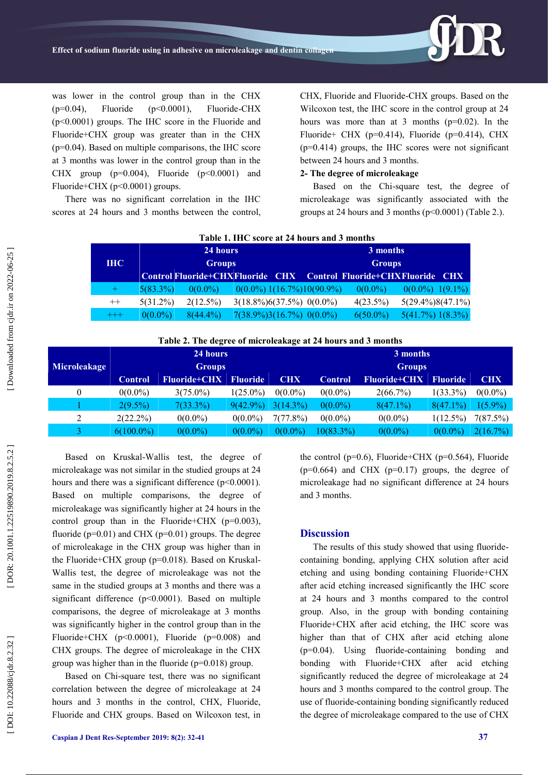

was lower in the control group than in the CHX  $(p=0.04)$ , Fluoride  $(p<0.0001)$ , Fluoride-CHX (p<0.0001) groups. The IHC score in the Fluoride and Fluoride+CHX group was greater than in the CHX (p=0.04). Based on multiple comparisons, the IHC score at 3 months was lower in the control group than in the CHX group  $(p=0.004)$ , Fluoride  $(p<0.0001)$  and Fluoride+CHX (p<0.0001) groups.

There was no significant correlation in the IHC scores at 24 hours and 3 months between the control,

CHX, Fluoride and Fluoride -CHX groups. Based on the Wilcoxon test, the IHC score in the control group at 24 hours was more than at 3 months (p=0.02). In the Fluoride+ CHX ( $p=0.414$ ), Fluoride ( $p=0.414$ ), CHX  $(p=0.414)$  groups, the IHC scores were not significant between 24 hours and 3 months.

#### **2- The degree of microleakage**

Based on the Chi -square test, the degree of microleakage was significantly associated with the groups at 24 hours and 3 months  $(p<0.0001)$  (Table 2.).

| Table 1. IHC score at 24 hours and 3 months |            |             |               |                              |  |                                 |                                                                          |                      |  |  |  |
|---------------------------------------------|------------|-------------|---------------|------------------------------|--|---------------------------------|--------------------------------------------------------------------------|----------------------|--|--|--|
|                                             |            | 24 hours    |               |                              |  |                                 | 3 months                                                                 |                      |  |  |  |
|                                             | <b>IHC</b> |             | <b>Groups</b> |                              |  | <b>Groups</b>                   |                                                                          |                      |  |  |  |
|                                             |            |             |               |                              |  |                                 | <b>Control Fluoride+CHXFluoride CHX Control Fluoride+CHXFluoride CHX</b> |                      |  |  |  |
|                                             | $+$        | $5(83.3\%)$ | $0(0.0\%)$    |                              |  | $0(0.0\%) 1(16.7\%) 10(90.9\%)$ | $0(0.0\%)$                                                               | $0(0.0\%)$ 1(9.1%)   |  |  |  |
|                                             | $^{++}$    | $5(31.2\%)$ | $2(12.5\%)$   | $3(18.8\%)6(37.5\%)0(0.0\%)$ |  |                                 | $4(23.5\%)$                                                              | $5(29.4\%)8(47.1\%)$ |  |  |  |
|                                             | $^{+++}$   | $0(0.0\%)$  | $8(44.4\%)$   | $7(38.9\%)3(16.7\%)0(0.0\%)$ |  |                                 | $6(50.0\%)$                                                              | $5(41.7\%)$ 1(8.3%)  |  |  |  |

**Table 2 . The degree of microleakage at 24 hours and 3 months**

|                     |                | 24 hours            |                 |            | 3 months       |                     |                 |            |  |  |
|---------------------|----------------|---------------------|-----------------|------------|----------------|---------------------|-----------------|------------|--|--|
| <b>Microleakage</b> | <b>Groups</b>  |                     |                 |            |                | <b>Groups</b>       |                 |            |  |  |
|                     | <b>Control</b> | <b>Fluoride+CHX</b> | <b>Fluoride</b> | <b>CHX</b> | <b>Control</b> | <b>Fluoride+CHX</b> | <b>Fluoride</b> | <b>CHX</b> |  |  |
| 0                   | $0(0.0\%)$     | $3(75.0\%)$         | $1(25.0\%)$     | $0(0.0\%)$ | $0(0.0\%)$     | $2(66.7\%)$         | $1(33.3\%)$     | $0(0.0\%)$ |  |  |
|                     | $2(9.5\%)$     | $7(33.3\%)$         | $9(42.9\%)$     | 3(14.3%)   | $0(0.0\%)$     | $8(47.1\%)$         | $8(47.1\%)$     | $1(5.9\%)$ |  |  |
| 2                   | $2(22.2\%)$    | $0(0.0\%)$          | $0(0.0\%)$      | 7(77.8%)   | $0(0.0\%)$     | $0(0.0\%)$          | $1(12.5\%)$     | 7(87.5%)   |  |  |
| 3                   | $6(100.0\%)$   | $0(0.0\%)$          | $0(0.0\%)$      | $0(0.0\%)$ | 10(83.3%)      | $0(0.0\%)$          | $0(0.0\%)$      | 2(16.7%)   |  |  |

Based on Kruskal -Wallis test, the degree of microleakage was not similar in the studied groups at 24 hours and there was a significant difference (p<0.0001). Based on multiple comparisons, the degree of microleakage was significantly higher at 24 hours in the control group than in the Fluoride+CHX ( $p=0.003$ ), fluoride ( $p=0.01$ ) and CHX ( $p=0.01$ ) groups. The degree of microleakage in the CHX group was higher than in the Fluoride+CHX group (p=0.018). Based on Kruskal-Wallis test, the degree of microleakage was not the same in the studied groups at 3 months and there was a significant difference (p<0.0001). Based on multiple comparisons, the degree of microleakage at 3 months was significantly higher in the control group than in the Fluoride+CHX (p<0.0001), Fluoride (p=0.008) and CHX groups. The degree of microleakage in the CHX group was higher than in the fluoride ( $p=0.018$ ) group.

Based on Chi -square test, there was no significant correlation between the degree of microleakage at 24 hours and 3 months in the control, CHX, Fluoride, Fluoride and CHX groups. Based on Wilcoxon test, in

the control ( $p=0.6$ ), Fluoride+CHX ( $p=0.564$ ), Fluoride  $(p=0.664)$  and CHX  $(p=0.17)$  groups, the degree of microleakage had no significant difference at 24 hours and 3 months.

#### **Discussion**

The results of this study showed that using fluoridecontaining bonding, applying CHX solution after acid etching and using bonding containing Fluoride+CHX after acid etching increased significantly the IHC score at 24 hours and 3 months compared to the control group. Also, in the group with bonding containing Fluoride+CHX after acid etching, the IHC score was higher than that of CHX after acid etching alone (p=0.04). Using fluoride -containing bonding and bonding with Fluoride+CHX after acid etching significantly reduced the degree of microleakage at 24 hours and 3 months compared to the control group. The use of fluoride -containing bonding significantly reduced the degree of microleakage compared to the use of CHX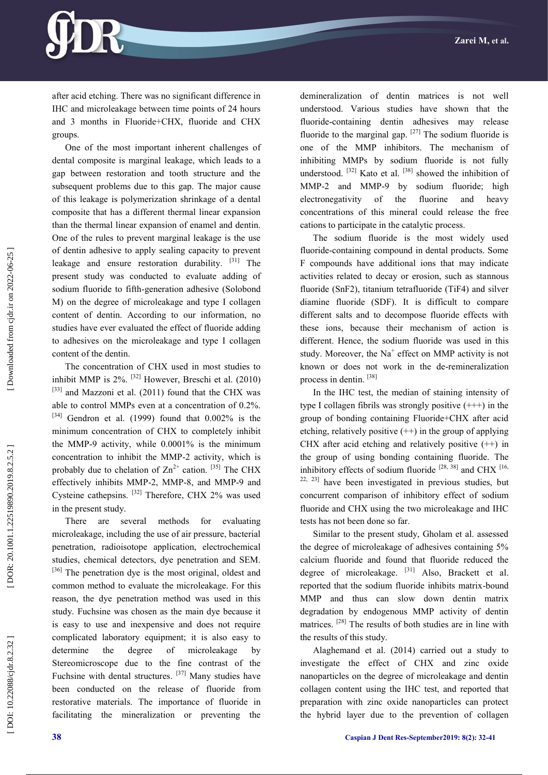

after acid etching. There was no significant difference in IHC and microleakage between time points of 24 hours and 3 months in Fluoride+CHX, fluoride and CHX groups.

One of the most important inherent challenges of dental composite is marginal leakage, which leads to a gap between restoration and tooth structure and the subsequent problems due to this gap. The major cause of this leakage is polymerization shrinkage of a dental composite that has a different thermal linear expansion than the thermal linear expansion of enamel and dentin. One of the rules to prevent marginal leakage is the use of dentin adhesive to apply sealing capacity to prevent leakage and ensure restoration durability.  $[31]$  The present study was conducted to evaluate adding of sodium fluoride to fifth -generation adhesive (Solobond M) on the degree of microleakage and type I collagen content of dentin. According to our information, no studies have ever evaluated the effect of fluoride adding to adhesives on the microleakage and type I collagen content of the dentin.

The concentration of CHX used in most studies to inhibit MMP is  $2\%$ . <sup>[32]</sup> However, Breschi et al. (2010) [33] and Mazzoni et al. (2011) found that the CHX was able to control MMPs even at a concentration of 0.2%.  $[34]$  Gendron et al. (1999) found that 0.002% is the minimum concentration of CHX to completely inhibit the MMP -9 activity, while 0.0001% is the minimum concentration to inhibit the MMP -2 activity, which is probably due to chelation of  $\text{Zn}^{2+}$  cation. <sup>[35]</sup> The CHX effectively inhibits MMP-2, MMP-8, and MMP-9 and Cysteine cathepsins. <sup>[32]</sup> Therefore, CHX 2% was used in the present study.

There are several methods for evaluating microleakage, including the use of air pressure, bacterial penetration, radioisotope application, electrochemical studies, chemical detectors, dye penetration and SEM. [36] The penetration dye is the most original, oldest and common method to evaluate the microleakage. For this reason, the dye penetration method was used in this study. Fuchsine was chosen as the main dye because it is easy to use and inexpensive and does not require complicated laboratory equipment; it is also easy to determine the degree of microleakage by Stereomicroscope due to the fine contrast of the Fuchsine with dental structures.  $[37]$  Many studies have been conducted on the release of fluoride from restorative materials. The importance of fluoride in facilitating the mineralization or preventing the

demineralization of dentin matrices is not well understood. Various studies have shown that the fluoride -containing dentin adhesives may release fluoride to the marginal gap.  $[27]$  The sodium fluoride is one of the MMP inhibitors. The mechanism of inhibiting MMPs by sodium fluoride is not fully understood.  $[32]$  Kato et al.  $[38]$  showed the inhibition of MMP -2 and MMP -9 by sodium fluoride; high electronegativity of the fluorine and heavy concentrations of this mineral could release the free cations to participate in the catalytic process.

The sodium fluoride is the most widely used fluoride -containing compound in dental products. Some F compounds have additional ions that may indicate activities related to decay or erosion, such as stannous fluoride (SnF2), titanium tetrafluoride (TiF4) and silver diamine fluoride (SDF). It is difficult to compare different salts and to decompose fluoride effects with these ions, because their mechanism of action is different. Hence, the sodium fluoride was used in this study. Moreover, the  $Na<sup>+</sup>$  effect on MMP activity is not known or does not work in the de -remineralization process in dentin. [38]

In the IHC test, the median of staining intensity of type I collagen fibrils was strongly positive (+++) in the group of bonding containing Fluoride+CHX after acid etching, relatively positive  $(++)$  in the group of applying CHX after acid etching and relatively positive  $(++)$  in the group of using bonding containing fluoride. The inhibitory effects of sodium fluoride  $^{[28, 38]}$  and CHX  $^{[16, 16]}$  $22, 23$  have been investigated in previous studies, but concurrent comparison of inhibitory effect of sodium fluoride and CHX using the two microleakage and IHC tests has not been done so far.

Similar to the present study, Gholam et al. assessed the degree of microleakage of adhesives containing 5% calcium fluoride and found that fluoride reduced the degree of microleakage. <sup>[31]</sup> Also, Brackett et al. reported that the sodium fluoride inhibits matrix -bound MMP and thus can slow down dentin matrix degradation by endogenous MMP activity of dentin matrices. <sup>[28]</sup> The results of both studies are in line with the results of this study.

Alaghemand et al. (2014) carried out a study to investigate the effect of CHX and zinc oxide nanoparticles on the degree of microleakage and dentin collagen content using the IHC test, and reported that preparation with zinc oxide nanoparticles can protect the hybrid layer due to the prevention of collagen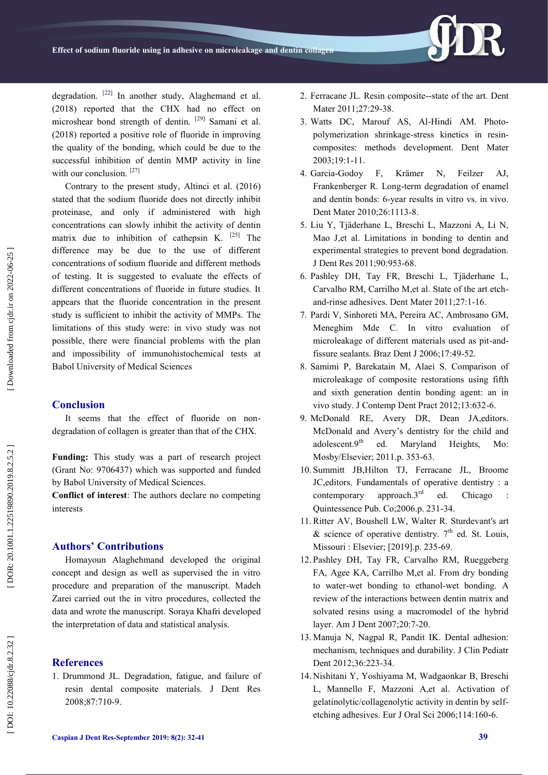degradation. <sup>[22]</sup> In another study, Alaghemand et al. (2018) reported that the CHX had no effect on microshear bond strength of dentin. [29] Samani et al. (2018) reported a positive role of fluoride in improving the quality of the bonding, which could be due to the successful inhibition of dentin MMP activity in line with our conclusion.<sup>[27]</sup>

Contrary to the present study, Altinci et al. (2016) stated that the sodium fluoride does not directly inhibit proteinase, and only if administered with high concentrations can slowly inhibit the activity of dentin matrix due to inhibition of cathepsin K.  $[25]$  The difference may be due to the use of different concentrations of sodium fluoride and different methods of testing. It is suggested to evaluate the effects of different concentrations of fluoride in future studies. It appears that the fluoride concentration in the present study is sufficient to inhibit the activity of MMPs. The limitations of this study were: in vivo study was not possible, there were financial problems with the plan and impossibility of immunohistochemical tests at Babol University of Medical Sciences

#### **Conclusion**

It seems that the effect of fluoride on nondegradation of collagen is greater than that of the CHX.

**Funding:** This study was a part of research project (Grant No: 9706437) which was supported and funded by Babol University of Medical Sciences.

**Conflict of interest**: The authors declare no competing interests

# **Authors' Contributions**

Homayoun Alaghehmand developed the original concept and design as well as supervised the in vitro procedure and preparation of the manuscript. Madeh Zarei carried out the in vitro procedures, collected the data and wrote the manuscript. Soraya Khafri developed the interpretation of data and statistical analysis.

#### **References**

1. Drummond JL. Degradation, fatigue, and failure of resin dental composite materials. J Dent Res 2008;87:710 -9.

- 2 . Ferracane JL. Resin composite--state of the art. Dent Mater 2011;27:29-38.
- 3 . Watts DC, Marouf AS, Al -Hindi AM. Photo polymerization shrinkage -stress kinetics in resin composites: methods development. Dent Mater 2003;19:1 -11.
- 4 . Garcia F, Krämer N, Feilzer AJ, Frankenberger R. Long -term degradation of enamel and dentin bonds: 6 -year results in vitro vs. in vivo. Dent Mater 2010;26:1113 -8.
- 5 . Liu Y, Tjäderhane L, Breschi L, Mazzoni A, Li N, Mao J,et al. Limitations in bonding to dentin and experimental strategies to prevent bond degradation. J Dent Res 2011;90:953 -68.
- 6 . Pashley DH, Tay FR, Breschi L, Tjäderhane L, Carvalho RM, Carrilho M,et al. State of the art etch and -rinse adhesives. Dent Mater 2011;27:1 -16.
- 7 . Pardi V, Sinhoreti MA, Pereira AC, Ambrosano GM, Meneghim Mde C. In vitro evaluation of microleakage of different materials used as pit-andfissure sealants. Braz Dent J 2006;17:49 -52.
- 8 . Samimi P, Barekatain M, Alaei S. Comparison of microleakage of composite restorations using fifth and sixth generation dentin bonding agent: an in vivo study. J Contemp Dent Pract 2012;13:632 -6.
- 9 . McDonald RE, Avery DR, Dean JA,editors. McDonald and Avery's dentistry for the child and adolescent.9<sup>th</sup> ed. Maryland Heights, Mo: Mosby/Elsevier; 2011.p. 353 -63.
- 10 . Summitt JB,Hilton TJ, Ferracane JL, Broome JC,editors. Fundamentals of operative dentistry : a contemporary approach. $3<sup>rd</sup>$  ed. Chicago Quintessence Pub. Co;2006.p. 231 -34.
- 11 .Ritter AV, Boushell LW, Walter R. Sturdevant's art & science of operative dentistry.  $7<sup>th</sup>$  ed. St. Louis, Missouri : Elsevier; [2019].p. 235 -69.
- 12 . Pashley DH, Tay FR, Carvalho RM, Rueggeberg FA, Agee KA, Carrilho M,et al. From dry bonding to water -wet bonding to ethanol -wet bonding. A review of the interactions between dentin matrix and solvated resins using a macromodel of the hybrid layer. Am J Dent 2007;20:7 -20.
- 13 . Manuja N, Nagpal R, Pandit IK. Dental adhesion: mechanism, techniques and durability. J Clin Pediatr Dent 2012;36:223 -34.
- 14 . Nishitani Y, Yoshiyama M, Wadgaonkar B, Breschi L, Mannello F, Mazzoni A,et al. Activation of gelatinolytic/collagenolytic activity in dentin by selfetching adhesives. Eur J Oral Sci 2006;114:160-6.

DOI: 10.22088/cjdr.8.2.32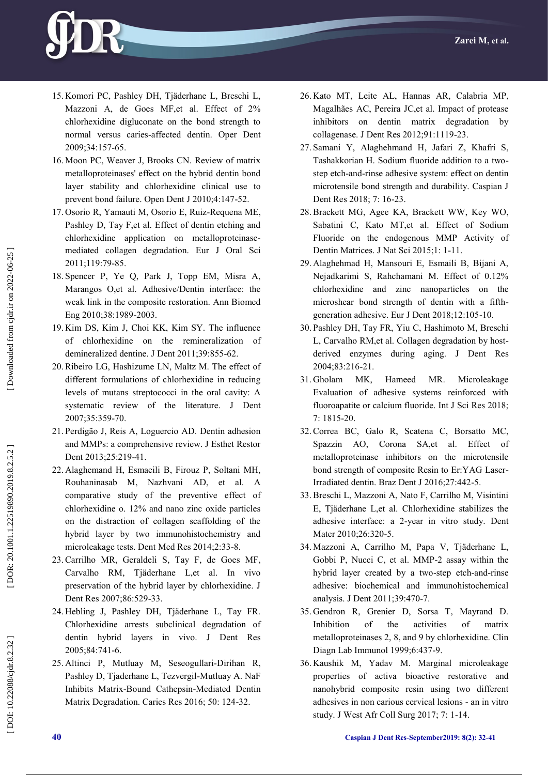

- 15 . Komori PC, Pashley DH, Tjäderhane L, Breschi L, Mazzoni A, de Goes MF,et al. Effect of 2% chlorhexidine digluconate on the bond strength to normal versus caries -affected dentin. Oper Dent 2009;34:157 -65.
- 16 . Moon PC, Weaver J, Brooks CN. Review of matrix metalloproteinases' effect on the hybrid dentin bond layer stability and chlorhexidine clinical use to prevent bond failure. Open Dent J 2010;4:147 -52.
- 17 . Osorio R, Yamauti M, Osorio E, Ruiz -Requena ME, Pashley D, Tay F,et al. Effect of dentin etching and chlorhexidine application on metalloproteinase mediated collagen degradation. Eur J Oral Sci 2011;119:79 -85.
- 18 . Spencer P, Ye Q, Park J, Topp EM, Misra A, Marangos O,et al. Adhesive/Dentin interface: the weak link in the composite restoration. Ann Biomed Eng 2010;38:1989 -2003.
- 19 . Kim DS, Kim J, Choi KK, Kim SY. The influence of chlorhexidine on the remineralization of demineralized dentine. J Dent 2011;39:855 -62.
- 20 .Ribeiro LG, Hashizume LN, Maltz M. The effect of different formulations of chlorhexidine in reducing levels of mutans streptococci in the oral cavity: A systematic review of the literature. J Dent 2007;35:359 -70.
- 21 . Perdigão J, Reis A, Loguercio AD. Dentin adhesion and MMPs: a comprehensive review. J Esthet Restor Dent 2013;25:219-41.
- 22 . Alaghemand H, Esmaeili B, Firouz P, Soltani MH, Rouhaninasab M, Nazhvani AD, et al. comparative study of the preventive effect of chlorhexidine o. 12% and nano zinc oxide particles on the distraction of collagen scaffolding of the hybrid layer by two immunohistochemistry and microleakage tests. Dent Med Res 2014;2:33 -8.
- 23 .Carrilho MR, Geraldeli S, Tay F, de Goes MF, Carvalho RM, Tjäderhane L,et al. In vivo preservation of the hybrid layer by chlorhexidine. J Dent Res 2007;86:529 -33.
- 24 . Hebling J, Pashley DH, Tjäderhane L, Tay FR. Chlorhexidine arrests subclinical degradation of dentin hybrid layers in vivo. J Dent Res 2005;84:741 -6.
- 25 . Altinci P, Mutluay M, Seseogullari -Dirihan R, Pashley D, Tjaderhane L, Tezvergil -Mutluay A. NaF Inhibits Matrix -Bound Cathepsin -Mediated Dentin Matrix Degradation. Caries Res 2016; 50: 124 -32.
- 26 . Kato MT, Leite AL, Hannas AR, Calabria MP, Magalhães AC, Pereira JC,et al. Impact of protease inhibitors on dentin matrix degradation by collagenase. J Dent Res 2012;91:1119 -23.
- 27 . Samani Y, Alaghehmand H, Jafari Z, Khafri S, Tashakkorian H. Sodium fluoride addition to a two step etch -and -rinse adhesive system: effect on dentin microtensile bond strength and durability. Caspian J Dent Res 2018; 7: 16 -23.
- 28 .Brackett MG, Agee KA, Brackett WW, Key WO, Sabatini C, Kato MT,et al. Effect of Sodium Fluoride on the endogenous MMP Activity of Dentin Matrices. J Nat Sci 2015;1: 1 -11.
- 29 . Alaghehmad H, Mansouri E, Esmaili B, Bijani A, Nejadkarimi S, Rahchamani M. Effect of 0.12% chlorhexidine and zinc nanoparticles on the microshear bond strength of dentin with a fifth generation adhesive. Eur J Dent 2018;12:105 -10.
- 30 . Pashley DH, Tay FR, Yiu C, Hashimoto M, Breschi L, Carvalho RM,et al. Collagen degradation by host derived enzymes during aging. J Dent Res 2004;83:216 -21.
- 31 . Gholam MK, Hameed MR. Microleakage Evaluation of adhesive systems reinforced with fluoroapatite or calcium fluoride. Int J Sci Res 2018; 7: 1815 -20.
- 32 .Correa BC, Galo R, Scatena C, Borsatto MC, Spazzin AO, Corona SA,et al. Effect of metalloproteinase inhibitors on the microtensile bond strength of composite Resin to Er:YAG Laser - Irradiated dentin. Braz Dent J 2016;27:442 -5.
- 33 .Breschi L, Mazzoni A, Nato F, Carrilho M, Visintini E, Tjäderhane L,et al. Chlorhexidine stabilizes the adhesive interface: a 2 -year in vitro study. Dent Mater 2010;26:320-5.
- 34 . Mazzoni A, Carrilho M, Papa V, Tjäderhane L, Gobbi P, Nucci C, et al. MMP -2 assay within the hybrid layer created by a two -step etch -and -rinse adhesive: biochemical and immunohistochemical analysis. J Dent 2011;39:470 -7.
- 35 . Gendron R, Grenier D, Sorsa T, Mayrand D. Inhibition of the activities of matrix metalloproteinases 2, 8, and 9 by chlorhexidine. Clin Diagn Lab Immunol 1999;6:437 -9.
- 36 . Kaushik M, Yadav M. Marginal microleakage properties of activa bioactive restorative and nanohybrid composite resin using two different adhesives in non carious cervical lesions - an in vitro study. J West Afr Coll Surg 2017; 7: 1 -14.